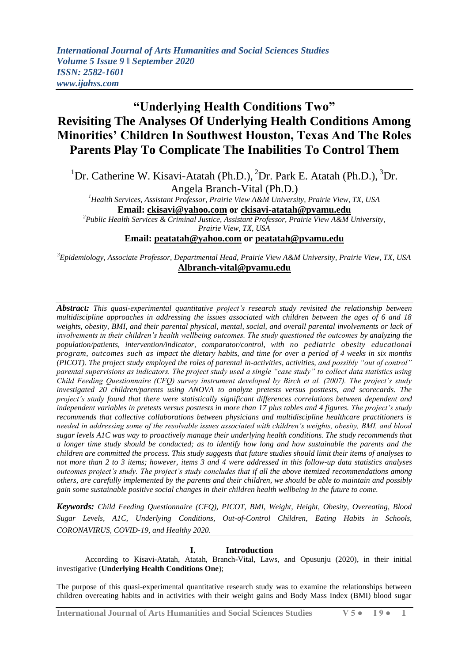# **"Underlying Health Conditions Two" Revisiting The Analyses Of Underlying Health Conditions Among Minorities' Children In Southwest Houston, Texas And The Roles Parents Play To Complicate The Inabilities To Control Them**

<sup>1</sup>Dr. Catherine W. Kisavi-Atatah (Ph.D.), <sup>2</sup>Dr. Park E. Atatah (Ph.D.), <sup>3</sup>Dr. Angela Branch-Vital (Ph.D.)

*<sup>1</sup>Health Services, Assistant Professor, Prairie View A&M University, Prairie View, TX, USA* **Email: [ckisavi@yahoo.com](mailto:ckisavi@yahoo.com) or [ckisavi-atatah@pvamu.edu](mailto:ckisavi-atatah@pvamu.edu)**

*<sup>2</sup>Public Health Services & Criminal Justice, Assistant Professor, Prairie View A&M University, Prairie View, TX, USA*

# **Email: [peatatah@yahoo.com](mailto:peatatah@yahoo.com) or [peatatah@pvamu.edu](mailto:peatatah@pvamu.edu)**

*<sup>3</sup>Epidemiology, Associate Professor, Departmental Head, Prairie View A&M University, Prairie View, TX, USA* **[Albranch-vital@pvamu.edu](mailto:Albranch-vital@pvamu.edu)**

*Abstract: This quasi-experimental quantitative project's research study revisited the relationship between multidiscipline approaches in addressing the issues associated with children between the ages of 6 and 18 weights, obesity, BMI, and their parental physical, mental, social, and overall parental involvements or lack of involvements in their children's health wellbeing outcomes. The study questioned the outcomes by analyzing the population/patients, intervention/indicator, comparator/control, with no pediatric obesity educational program, outcomes such as impact the dietary habits, and time for over a period of 4 weeks in six months (PICOT). The project study employed the roles of parental in-activities, activities, and possibly "out of control" parental supervisions as indicators. The project study used a single "case study" to collect data statistics using Child Feeding Questionnaire (CFQ) survey instrument developed by Birch et al. (2007). The project's study investigated 20 children/parents using ANOVA to analyze pretests versus posttests, and scorecards. The project's study found that there were statistically significant differences correlations between dependent and independent variables in pretests versus posttests in more than 17 plus tables and 4 figures. The project's study recommends that collective collaborations between physicians and multidiscipline healthcare practitioners is needed in addressing some of the resolvable issues associated with children's weights, obesity, BMI, and blood sugar levels A1C was way to proactively manage their underlying health conditions. The study recommends that a longer time study should be conducted; as to identify how long and how sustainable the parents and the children are committed the process. This study suggests that future studies should limit their items of analyses to not more than 2 to 3 items; however, items 3 and 4 were addressed in this follow-up data statistics analyses outcomes project's study. The project's study concludes that if all the above itemized recommendations among others, are carefully implemented by the parents and their children, we should be able to maintain and possibly gain some sustainable positive social changes in their children health wellbeing in the future to come.*

*Keywords: Child Feeding Questionnaire (CFQ), PICOT, BMI, Weight, Height, Obesity, Overeating, Blood Sugar Levels, A1C, Underlying Conditions, Out-of-Control Children, Eating Habits in Schools, CORONAVIRUS, COVID-19, and Healthy 2020.* 

## **I. Introduction**

According to Kisavi-Atatah, Atatah, Branch-Vital, Laws, and Opusunju (2020), in their initial investigative (**Underlying Health Conditions One**);

The purpose of this quasi-experimental quantitative research study was to examine the relationships between children overeating habits and in activities with their weight gains and Body Mass Index (BMI) blood sugar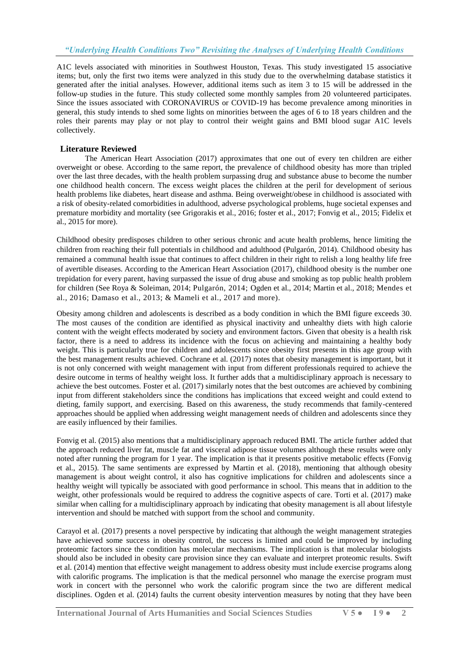A1C levels associated with minorities in Southwest Houston, Texas. This study investigated 15 associative items; but, only the first two items were analyzed in this study due to the overwhelming database statistics it generated after the initial analyses. However, additional items such as item 3 to 15 will be addressed in the follow-up studies in the future. This study collected some monthly samples from 20 volunteered participates. Since the issues associated with CORONAVIRUS or COVID-19 has become prevalence among minorities in general, this study intends to shed some lights on minorities between the ages of 6 to 18 years children and the roles their parents may play or not play to control their weight gains and BMI blood sugar A1C levels collectively.

## **Literature Reviewed**

The American Heart Association (2017) approximates that one out of every ten children are either overweight or obese. According to the same report, the prevalence of childhood obesity has more than tripled over the last three decades, with the health problem surpassing drug and substance abuse to become the number one childhood health concern. The excess weight places the children at the peril for development of serious health problems like diabetes, heart disease and asthma. Being overweight/obese in childhood is associated with a risk of obesity-related comorbidities in adulthood, adverse psychological problems, huge societal expenses and premature morbidity and mortality (see Grigorakis et al., 2016; foster et al., 2017; Fonvig et al., 2015; Fidelix et al., 2015 for more).

Childhood obesity predisposes children to other serious chronic and acute health problems, hence limiting the children from reaching their full potentials in childhood and adulthood (Pulgarón, 2014). Childhood obesity has remained a communal health issue that continues to affect children in their right to relish a long healthy life free of avertible diseases. According to the American Heart Association (2017), childhood obesity is the number one trepidation for every parent, having surpassed the issue of drug abuse and smoking as top public health problem for children (See Roya & Soleiman, 2014; Pulgarón, 2014; Ogden et al., 2014; Martin et al., 2018; Mendes et al., 2016; Damaso et al., 2013; & Mameli et al., 2017 and more).

Obesity among children and adolescents is described as a body condition in which the BMI figure exceeds 30. The most causes of the condition are identified as physical inactivity and unhealthy diets with high calorie content with the weight effects moderated by society and environment factors. Given that obesity is a health risk factor, there is a need to address its incidence with the focus on achieving and maintaining a healthy body weight. This is particularly true for children and adolescents since obesity first presents in this age group with the best management results achieved. Cochrane et al. (2017) notes that obesity management is important, but it is not only concerned with weight management with input from different professionals required to achieve the desire outcome in terms of healthy weight loss. It further adds that a multidisciplinary approach is necessary to achieve the best outcomes. Foster et al. (2017) similarly notes that the best outcomes are achieved by combining input from different stakeholders since the conditions has implications that exceed weight and could extend to dieting, family support, and exercising. Based on this awareness, the study recommends that family-centered approaches should be applied when addressing weight management needs of children and adolescents since they are easily influenced by their families.

Fonvig et al. (2015) also mentions that a multidisciplinary approach reduced BMI. The article further added that the approach reduced liver fat, muscle fat and visceral adipose tissue volumes although these results were only noted after running the program for 1 year. The implication is that it presents positive metabolic effects (Fonvig et al., 2015). The same sentiments are expressed by Martin et al. (2018), mentioning that although obesity management is about weight control, it also has cognitive implications for children and adolescents since a healthy weight will typically be associated with good performance in school. This means that in addition to the weight, other professionals would be required to address the cognitive aspects of care. Torti et al. (2017) make similar when calling for a multidisciplinary approach by indicating that obesity management is all about lifestyle intervention and should be matched with support from the school and community.

Carayol et al. (2017) presents a novel perspective by indicating that although the weight management strategies have achieved some success in obesity control, the success is limited and could be improved by including proteomic factors since the condition has molecular mechanisms. The implication is that molecular biologists should also be included in obesity care provision since they can evaluate and interpret proteomic results. Swift et al. (2014) mention that effective weight management to address obesity must include exercise programs along with calorific programs. The implication is that the medical personnel who manage the exercise program must work in concert with the personnel who work the calorific program since the two are different medical disciplines. Ogden et al. (2014) faults the current obesity intervention measures by noting that they have been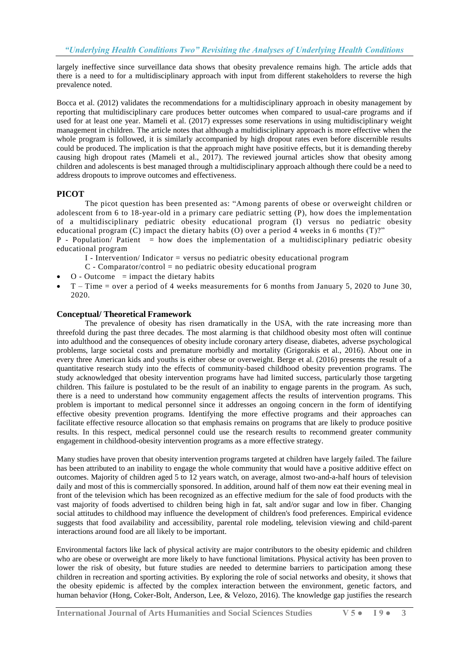largely ineffective since surveillance data shows that obesity prevalence remains high. The article adds that there is a need to for a multidisciplinary approach with input from different stakeholders to reverse the high prevalence noted.

Bocca et al. (2012) validates the recommendations for a multidisciplinary approach in obesity management by reporting that multidisciplinary care produces better outcomes when compared to usual-care programs and if used for at least one year. Mameli et al. (2017) expresses some reservations in using multidisciplinary weight management in children. The article notes that although a multidisciplinary approach is more effective when the whole program is followed, it is similarly accompanied by high dropout rates even before discernible results could be produced. The implication is that the approach might have positive effects, but it is demanding thereby causing high dropout rates (Mameli et al., 2017). The reviewed journal articles show that obesity among children and adolescents is best managed through a multidisciplinary approach although there could be a need to address dropouts to improve outcomes and effectiveness.

# **PICOT**

The picot question has been presented as: "Among parents of obese or overweight children or adolescent from 6 to 18-year-old in a primary care pediatric setting (P), how does the implementation of a multidisciplinary pediatric obesity educational program (I) versus no pediatric obesity educational program (C) impact the dietary habits (O) over a period 4 weeks in 6 months (T)?"

 $P$  - Population/ Patient = how does the implementation of a multidisciplinary pediatric obesity educational program

- $I$  Intervention/ Indicator = versus no pediatric obesity educational program
- $C$  Comparator/control = no pediatric obesity educational program
- $O Outcome$  = impact the dietary habits
- T Time = over a period of 4 weeks measurements for 6 months from January 5, 2020 to June 30, 2020.

## **Conceptual/ Theoretical Framework**

The prevalence of obesity has risen dramatically in the USA, with the rate increasing more than threefold during the past three decades. The most alarming is that childhood obesity most often will continue into adulthood and the consequences of obesity include coronary artery disease, diabetes, adverse psychological problems, large societal costs and premature morbidly and mortality (Grigorakis et al., 2016). About one in every three American kids and youths is either obese or overweight. Berge et al. (2016) presents the result of a quantitative research study into the effects of community-based childhood obesity prevention programs. The study acknowledged that obesity intervention programs have had limited success, particularly those targeting children. This failure is postulated to be the result of an inability to engage parents in the program. As such, there is a need to understand how community engagement affects the results of intervention programs. This problem is important to medical personnel since it addresses an ongoing concern in the form of identifying effective obesity prevention programs. Identifying the more effective programs and their approaches can facilitate effective resource allocation so that emphasis remains on programs that are likely to produce positive results. In this respect, medical personnel could use the research results to recommend greater community engagement in childhood-obesity intervention programs as a more effective strategy.

Many studies have proven that obesity intervention programs targeted at children have largely failed. The failure has been attributed to an inability to engage the whole community that would have a positive additive effect on outcomes. Majority of children aged 5 to 12 years watch, on average, almost two-and-a-half hours of television daily and most of this is commercially sponsored. In addition, around half of them now eat their evening meal in front of the television which has been recognized as an effective medium for the sale of food products with the vast majority of foods advertised to children being high in fat, salt and/or sugar and low in fiber. Changing social attitudes to childhood may influence the development of children's food preferences. Empirical evidence suggests that food availability and accessibility, parental role modeling, television viewing and child-parent interactions around food are all likely to be important.

Environmental factors like lack of physical activity are major contributors to the obesity epidemic and children who are obese or overweight are more likely to have functional limitations. Physical activity has been proven to lower the risk of obesity, but future studies are needed to determine barriers to participation among these children in recreation and sporting activities. By exploring the role of social networks and obesity, it shows that the obesity epidemic is affected by the complex interaction between the environment, genetic factors, and human behavior (Hong, Coker-Bolt, Anderson, Lee, & Velozo, 2016). The knowledge gap justifies the research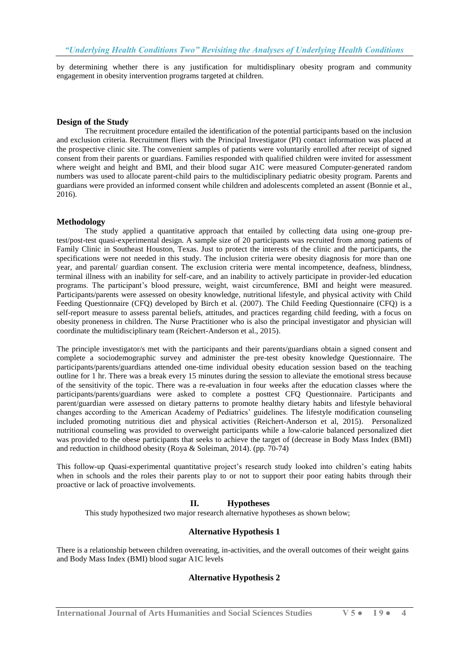by determining whether there is any justification for multidisplinary obesity program and community engagement in obesity intervention programs targeted at children.

#### **Design of the Study**

The recruitment procedure entailed the identification of the potential participants based on the inclusion and exclusion criteria. Recruitment fliers with the Principal Investigator (PI) contact information was placed at the prospective clinic site. The convenient samples of patients were voluntarily enrolled after receipt of signed consent from their parents or guardians. Families responded with qualified children were invited for assessment where weight and height and BMI, and their blood sugar A1C were measured Computer-generated random numbers was used to allocate parent-child pairs to the multidisciplinary pediatric obesity program. Parents and guardians were provided an informed consent while children and adolescents completed an assent (Bonnie et al., 2016).

## **Methodology**

The study applied a quantitative approach that entailed by collecting data using one-group pretest/post-test quasi-experimental design. A sample size of 20 participants was recruited from among patients of Family Clinic in Southeast Houston, Texas. Just to protect the interests of the clinic and the participants, the specifications were not needed in this study. The inclusion criteria were obesity diagnosis for more than one year, and parental/ guardian consent. The exclusion criteria were mental incompetence, deafness, blindness, terminal illness with an inability for self-care, and an inability to actively participate in provider-led education programs. The participant's blood pressure, weight, waist circumference, BMI and height were measured. Participants/parents were assessed on obesity knowledge, nutritional lifestyle, and physical activity with Child Feeding Questionnaire (CFQ) developed by Birch et al. (2007). The Child Feeding Questionnaire (CFQ) is a self-report measure to assess parental beliefs, attitudes, and practices regarding child feeding, with a focus on obesity proneness in children. The Nurse Practitioner who is also the principal investigator and physician will coordinate the multidisciplinary team (Reichert-Anderson et al., 2015).

The principle investigator/s met with the participants and their parents/guardians obtain a signed consent and complete a sociodemographic survey and administer the pre-test obesity knowledge Questionnaire. The participants/parents/guardians attended one-time individual obesity education session based on the teaching outline for 1 hr. There was a break every 15 minutes during the session to alleviate the emotional stress because of the sensitivity of the topic. There was a re-evaluation in four weeks after the education classes where the participants/parents/guardians were asked to complete a posttest CFQ Questionnaire. Participants and parent/guardian were assessed on dietary patterns to promote healthy dietary habits and lifestyle behavioral changes according to the American Academy of Pediatrics' guidelines. The lifestyle modification counseling included promoting nutritious diet and physical activities (Reichert-Anderson et al, 2015). Personalized nutritional counseling was provided to overweight participants while a low-calorie balanced personalized diet was provided to the obese participants that seeks to achieve the target of (decrease in Body Mass Index (BMI) and reduction in childhood obesity (Roya & Soleiman, 2014). (pp. 70-74)

This follow-up Quasi-experimental quantitative project's research study looked into children's eating habits when in schools and the roles their parents play to or not to support their poor eating habits through their proactive or lack of proactive involvements.

## **II. Hypotheses**

This study hypothesized two major research alternative hypotheses as shown below;

## **Alternative Hypothesis 1**

There is a relationship between children overeating, in-activities, and the overall outcomes of their weight gains and Body Mass Index (BMI) blood sugar A1C levels

## **Alternative Hypothesis 2**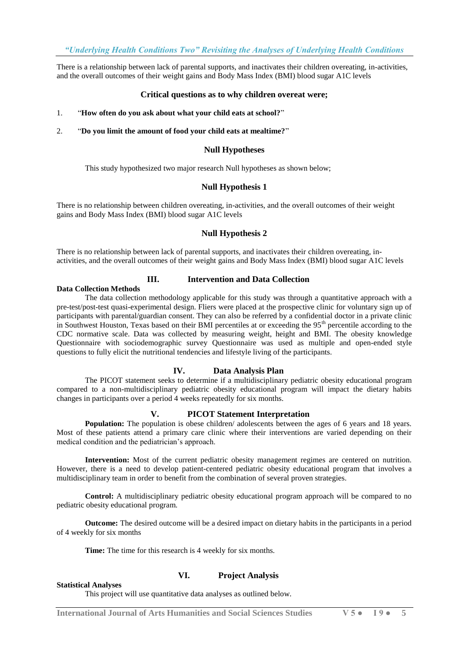There is a relationship between lack of parental supports, and inactivates their children overeating, in-activities, and the overall outcomes of their weight gains and Body Mass Index (BMI) blood sugar A1C levels

## **Critical questions as to why children overeat were;**

#### 1. "**How often do you ask about what your child eats at school?**"

2. "**Do you limit the amount of food your child eats at mealtime?**"

#### **Null Hypotheses**

This study hypothesized two major research Null hypotheses as shown below;

#### **Null Hypothesis 1**

There is no relationship between children overeating, in-activities, and the overall outcomes of their weight gains and Body Mass Index (BMI) blood sugar A1C levels

## **Null Hypothesis 2**

There is no relationship between lack of parental supports, and inactivates their children overeating, inactivities, and the overall outcomes of their weight gains and Body Mass Index (BMI) blood sugar A1C levels

# **III. Intervention and Data Collection**

**Data Collection Methods**

The data collection methodology applicable for this study was through a quantitative approach with a pre-test/post-test quasi-experimental design. Fliers were placed at the prospective clinic for voluntary sign up of participants with parental/guardian consent. They can also be referred by a confidential doctor in a private clinic in Southwest Houston, Texas based on their BMI percentiles at or exceeding the 95th percentile according to the CDC normative scale. Data was collected by measuring weight, height and BMI. The obesity knowledge Questionnaire with sociodemographic survey Questionnaire was used as multiple and open-ended style questions to fully elicit the nutritional tendencies and lifestyle living of the participants.

## **IV. Data Analysis Plan**

The PICOT statement seeks to determine if a multidisciplinary pediatric obesity educational program compared to a non-multidisciplinary pediatric obesity educational program will impact the dietary habits changes in participants over a period 4 weeks repeatedly for six months.

#### **V. PICOT Statement Interpretation**

**Population:** The population is obese children/ adolescents between the ages of 6 years and 18 years. Most of these patients attend a primary care clinic where their interventions are varied depending on their medical condition and the pediatrician's approach.

**Intervention:** Most of the current pediatric obesity management regimes are centered on nutrition. However, there is a need to develop patient-centered pediatric obesity educational program that involves a multidisciplinary team in order to benefit from the combination of several proven strategies.

**Control:** A multidisciplinary pediatric obesity educational program approach will be compared to no pediatric obesity educational program.

**Outcome:** The desired outcome will be a desired impact on dietary habits in the participants in a period of 4 weekly for six months

**Time:** The time for this research is 4 weekly for six months.

## **VI. Project Analysis**

#### **Statistical Analyses**

This project will use quantitative data analyses as outlined below.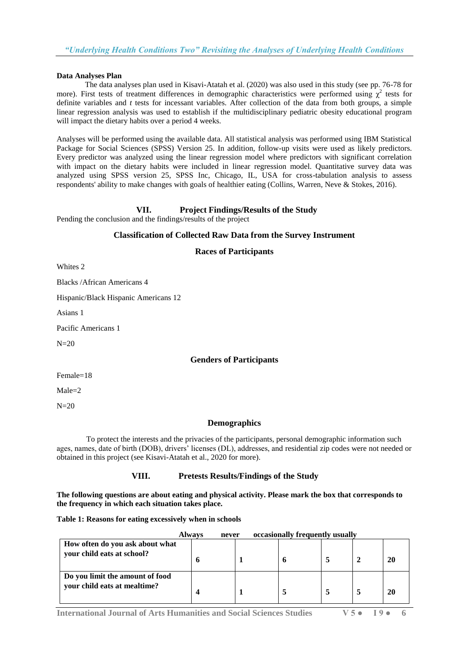### **Data Analyses Plan**

The data analyses plan used in Kisavi-Atatah et al. (2020) was also used in this study (see pp. 76-78 for more). First tests of treatment differences in demographic characteristics were performed using  $\chi^2$  tests for definite variables and *t* tests for incessant variables. After collection of the data from both groups, a simple linear regression analysis was used to establish if the multidisciplinary pediatric obesity educational program will impact the dietary habits over a period 4 weeks.

Analyses will be performed using the available data. All statistical analysis was performed using IBM Statistical Package for Social Sciences (SPSS) Version 25. In addition, follow-up visits were used as likely predictors. Every predictor was analyzed using the linear regression model where predictors with significant correlation with impact on the dietary habits were included in linear regression model. Quantitative survey data was analyzed using SPSS version 25, SPSS Inc, Chicago, IL, USA for cross-tabulation analysis to assess respondents' ability to make changes with goals of healthier eating (Collins, Warren, Neve & Stokes, 2016).

# **VII. Project Findings/Results of the Study**

Pending the conclusion and the findings/results of the project

## **Classification of Collected Raw Data from the Survey Instrument**

## **Races of Participants**

Whites 2

Blacks /African Americans 4

Hispanic/Black Hispanic Americans 12

Asians 1

Pacific Americans 1

 $N=20$ 

## **Genders of Participants**

Female=18

 $Male=2$ 

 $N=20$ 

## **Demographics**

 To protect the interests and the privacies of the participants, personal demographic information such ages, names, date of birth (DOB), drivers' licenses (DL), addresses, and residential zip codes were not needed or obtained in this project (see Kisavi-Atatah et al., 2020 for more).

## **VIII. Pretests Results/Findings of the Study**

**The following questions are about eating and physical activity. Please mark the box that corresponds to the frequency in which each situation takes place.**

**Table 1: Reasons for eating excessively when in schools** 

|                                                                 | <b>Always</b> | never | occasionally frequently usually |  |     |
|-----------------------------------------------------------------|---------------|-------|---------------------------------|--|-----|
| How often do you ask about what<br>your child eats at school?   |               |       |                                 |  | -20 |
| Do you limit the amount of food<br>your child eats at mealtime? |               |       |                                 |  | -20 |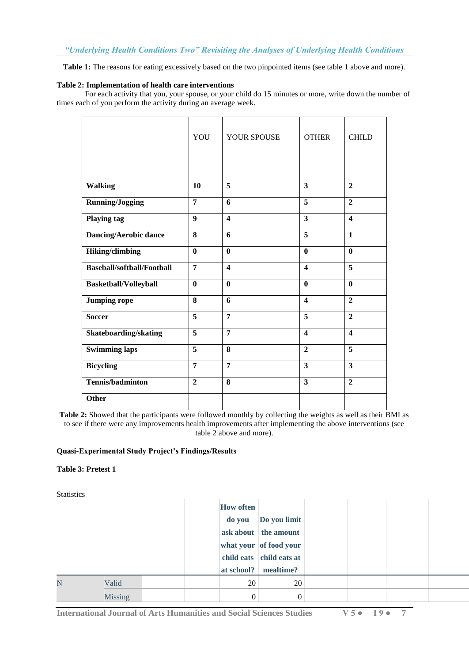**Table 1:** The reasons for eating excessively based on the two pinpointed items (see table 1 above and more).

## **Table 2: Implementation of health care interventions**

For each activity that you, your spouse, or your child do 15 minutes or more, write down the number of times each of you perform the activity during an average week.

|                                   | YOU                     | YOUR SPOUSE             | <b>OTHER</b>            | <b>CHILD</b>            |
|-----------------------------------|-------------------------|-------------------------|-------------------------|-------------------------|
|                                   |                         |                         |                         |                         |
| <b>Walking</b>                    | 10                      | 5                       | $\overline{\mathbf{3}}$ | $\overline{2}$          |
| <b>Running/Jogging</b>            | $\overline{7}$          | 6                       | 5                       | $\overline{2}$          |
| <b>Playing tag</b>                | $\boldsymbol{9}$        | $\overline{\mathbf{4}}$ | $\overline{\mathbf{3}}$ | $\boldsymbol{4}$        |
| <b>Dancing/Aerobic dance</b>      | 8                       | 6                       | $\overline{5}$          | $\mathbf{1}$            |
| <b>Hiking/climbing</b>            | $\boldsymbol{0}$        | $\bf{0}$                | $\mathbf{0}$            | $\mathbf{0}$            |
| <b>Baseball/softball/Football</b> | $\overline{7}$          | $\overline{\mathbf{4}}$ | $\boldsymbol{4}$        | 5                       |
| <b>Basketball/Volleyball</b>      | $\mathbf{0}$            | $\bf{0}$                | $\mathbf{0}$            | $\mathbf{0}$            |
| <b>Jumping rope</b>               | 8                       | 6                       | $\boldsymbol{4}$        | $\overline{2}$          |
| <b>Soccer</b>                     | 5                       | $\overline{7}$          | 5                       | $\overline{2}$          |
| Skateboarding/skating             | $\overline{5}$          | $\overline{7}$          | $\boldsymbol{4}$        | $\overline{\mathbf{4}}$ |
| <b>Swimming laps</b>              | $\overline{\mathbf{5}}$ | 8                       | $\overline{2}$          | 5                       |
| <b>Bicycling</b>                  | $\overline{7}$          | $\overline{7}$          | $\overline{\mathbf{3}}$ | $\overline{\mathbf{3}}$ |
| <b>Tennis/badminton</b>           | $\overline{2}$          | 8                       | 3                       | $\overline{2}$          |
| Other                             |                         |                         |                         |                         |

**Table 2:** Showed that the participants were followed monthly by collecting the weights as well as their BMI as to see if there were any improvements health improvements after implementing the above interventions (see table 2 above and more).

## **Quasi-Experimental Study Project's Findings/Results**

## **Table 3: Pretest 1**

**Statistics** 

|   |                |  | <b>How often</b> |                          |  |  |
|---|----------------|--|------------------|--------------------------|--|--|
|   |                |  | do you           | Do you limit             |  |  |
|   |                |  |                  | ask about the amount     |  |  |
|   |                |  |                  | what your of food your   |  |  |
|   |                |  |                  | child eats child eats at |  |  |
|   |                |  | at school?       | mealtime?                |  |  |
| N | Valid          |  | 20               | 20                       |  |  |
|   | <b>Missing</b> |  | $\mathbf{0}$     | $\theta$                 |  |  |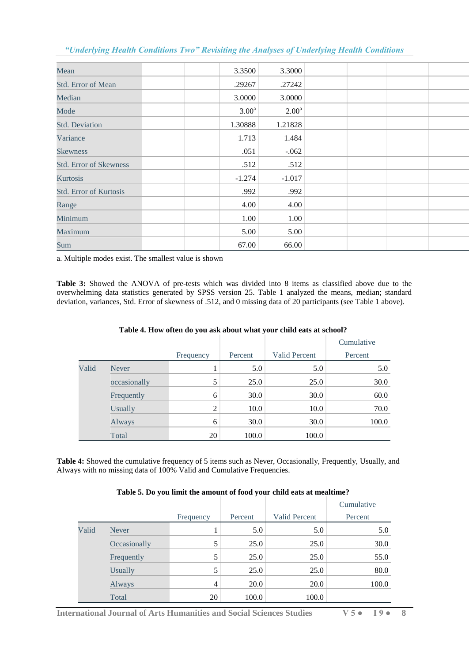| Mean                          | 3.3500            | 3.3000            |  |  |
|-------------------------------|-------------------|-------------------|--|--|
| Std. Error of Mean            | .29267            | .27242            |  |  |
| Median                        | 3.0000            | 3.0000            |  |  |
| Mode                          | 3.00 <sup>a</sup> | 2.00 <sup>a</sup> |  |  |
| <b>Std. Deviation</b>         | 1.30888           | 1.21828           |  |  |
| Variance                      | 1.713             | 1.484             |  |  |
| <b>Skewness</b>               | .051              | $-.062$           |  |  |
| <b>Std. Error of Skewness</b> | .512              | .512              |  |  |
| Kurtosis                      | $-1.274$          | $-1.017$          |  |  |
| <b>Std. Error of Kurtosis</b> | .992              | .992              |  |  |
| Range                         | 4.00              | 4.00              |  |  |
| Minimum                       | 1.00              | 1.00              |  |  |
| Maximum                       | 5.00              | 5.00              |  |  |
| Sum                           | 67.00             | 66.00             |  |  |

a. Multiple modes exist. The smallest value is shown

**Table 3:** Showed the ANOVA of pre-tests which was divided into 8 items as classified above due to the overwhelming data statistics generated by SPSS version 25. Table 1 analyzed the means, median; standard deviation, variances, Std. Error of skewness of .512, and 0 missing data of 20 participants (see Table 1 above).

|       |                |                |         |               | Cumulative |
|-------|----------------|----------------|---------|---------------|------------|
|       |                | Frequency      | Percent | Valid Percent | Percent    |
| Valid | <b>Never</b>   |                | 5.0     | 5.0           | 5.0        |
|       | occasionally   | 5              | 25.0    | 25.0          | 30.0       |
|       | Frequently     | 6              | 30.0    | 30.0          | 60.0       |
|       | <b>Usually</b> | $\overline{2}$ | 10.0    | 10.0          | 70.0       |
|       | Always         | 6              | 30.0    | 30.0          | 100.0      |
|       | Total          | 20             | 100.0   | 100.0         |            |

## **Table 4. How often do you ask about what your child eats at school?**

**Table 4:** Showed the cumulative frequency of 5 items such as Never, Occasionally, Frequently, Usually, and Always with no missing data of 100% Valid and Cumulative Frequencies.

## **Table 5. Do you limit the amount of food your child eats at mealtime?**

|       |                |           |         |                      | Cumulative |
|-------|----------------|-----------|---------|----------------------|------------|
|       |                | Frequency | Percent | <b>Valid Percent</b> | Percent    |
| Valid | <b>Never</b>   |           | 5.0     | 5.0                  | 5.0        |
|       | Occasionally   | 5         | 25.0    | 25.0                 | 30.0       |
|       | Frequently     | 5         | 25.0    | 25.0                 | 55.0       |
|       | <b>Usually</b> | 5         | 25.0    | 25.0                 | 80.0       |
|       | Always         | 4         | 20.0    | 20.0                 | 100.0      |
|       | Total          | 20        | 100.0   | 100.0                |            |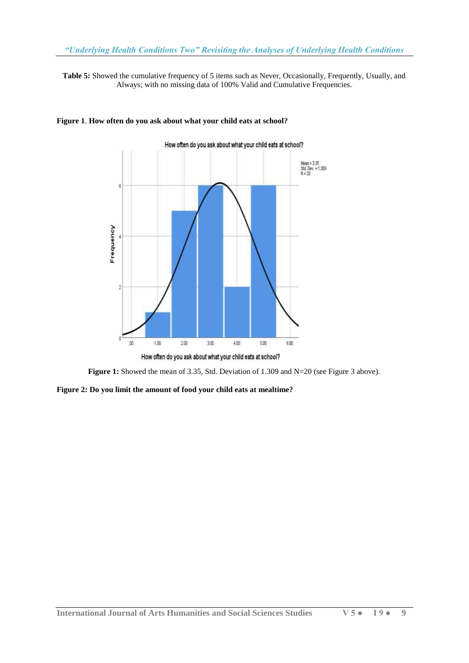**Table 5:** Showed the cumulative frequency of 5 items such as Never, Occasionally, Frequently, Usually, and Always; with no missing data of 100% Valid and Cumulative Frequencies.



## **Figure 1**. **How often do you ask about what your child eats at school?**



**Figure 2: Do you limit the amount of food your child eats at mealtime?**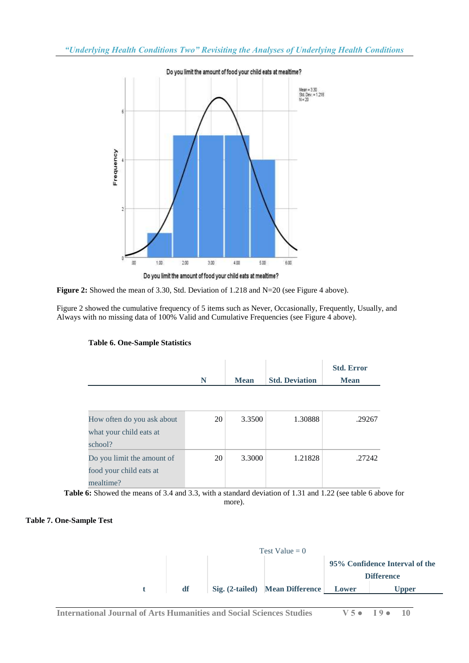



Figure 2 showed the cumulative frequency of 5 items such as Never, Occasionally, Frequently, Usually, and Always with no missing data of 100% Valid and Cumulative Frequencies (see Figure 4 above).



|                            |    |             |                       | <b>Std. Error</b> |
|----------------------------|----|-------------|-----------------------|-------------------|
|                            | N  | <b>Mean</b> | <b>Std. Deviation</b> | <b>Mean</b>       |
|                            |    |             |                       |                   |
|                            |    |             |                       |                   |
| How often do you ask about | 20 | 3.3500      | 1.30888               | .29267            |
| what your child eats at    |    |             |                       |                   |
| school?                    |    |             |                       |                   |
| Do you limit the amount of | 20 | 3.3000      | 1.21828               | .27242            |
| food your child eats at    |    |             |                       |                   |
| mealtime?                  |    |             |                       |                   |

**Table 6:** Showed the means of 3.4 and 3.3, with a standard deviation of 1.31 and 1.22 (see table 6 above for more).

## **Table 7. One-Sample Test**

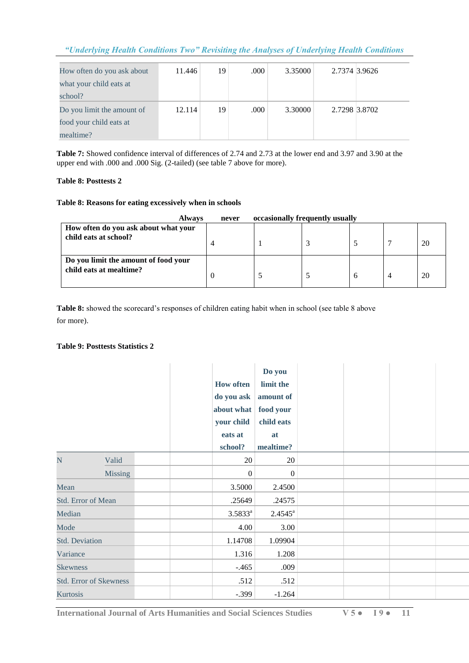| How often do you ask about | 11.446 | 19 | .000 | 3.35000 | 2.7374 3.9626 |  |
|----------------------------|--------|----|------|---------|---------------|--|
| what your child eats at    |        |    |      |         |               |  |
| school?                    |        |    |      |         |               |  |
| Do you limit the amount of | 12.114 | 19 | .000 | 3.30000 | 2.7298 3.8702 |  |
| food your child eats at    |        |    |      |         |               |  |
| mealtime?                  |        |    |      |         |               |  |

**Table 7:** Showed confidence interval of differences of 2.74 and 2.73 at the lower end and 3.97 and 3.90 at the upper end with .000 and .000 Sig. (2-tailed) (see table 7 above for more).

# **Table 8: Posttests 2**

## **Table 8: Reasons for eating excessively when in schools**

| <b>Always</b>                                                   | never | occasionally frequently usually |   |    |
|-----------------------------------------------------------------|-------|---------------------------------|---|----|
| How often do you ask about what your<br>child eats at school?   |       |                                 |   | 20 |
| Do you limit the amount of food your<br>child eats at mealtime? |       |                                 | n | 20 |

**Table 8:** showed the scorecard's responses of children eating habit when in school (see table 8 above for more).

## **Table 9: Posttests Statistics 2**

|                       |                               | <b>How often</b><br>do you ask<br>about what<br>your child<br>eats at<br>school? | Do you<br>limit the<br>amount of<br>food your<br>child eats<br>at<br>mealtime? |  |  |
|-----------------------|-------------------------------|----------------------------------------------------------------------------------|--------------------------------------------------------------------------------|--|--|
| N                     | Valid                         | 20                                                                               | 20                                                                             |  |  |
|                       | <b>Missing</b>                | $\boldsymbol{0}$                                                                 | $\boldsymbol{0}$                                                               |  |  |
| Mean                  |                               | 3.5000                                                                           | 2.4500                                                                         |  |  |
|                       | Std. Error of Mean            | .25649                                                                           | .24575                                                                         |  |  |
| Median                |                               | $3.5833^{a}$                                                                     | $2.4545^{\rm a}$                                                               |  |  |
| Mode                  |                               | 4.00                                                                             | 3.00                                                                           |  |  |
| <b>Std. Deviation</b> |                               | 1.14708                                                                          | 1.09904                                                                        |  |  |
| Variance              |                               | 1.316                                                                            | 1.208                                                                          |  |  |
| <b>Skewness</b>       |                               | $-.465$                                                                          | .009                                                                           |  |  |
|                       | <b>Std. Error of Skewness</b> | .512                                                                             | .512                                                                           |  |  |
| Kurtosis              |                               | $-.399$                                                                          | $-1.264$                                                                       |  |  |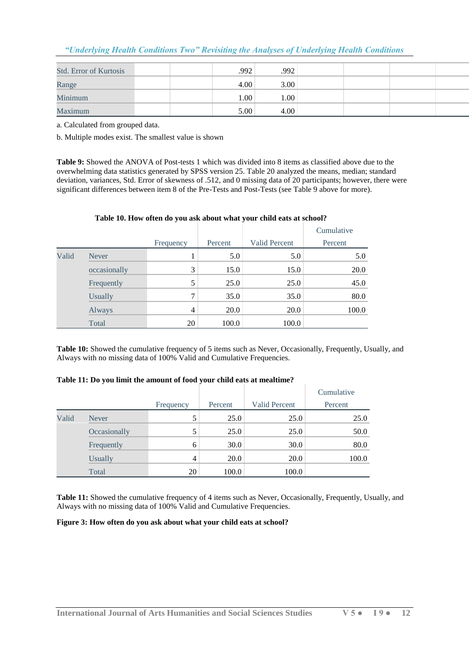| "Underlying Health Conditions Two" Revisiting the Analyses of Underlying Health Conditions |  |  |  |
|--------------------------------------------------------------------------------------------|--|--|--|
|                                                                                            |  |  |  |

| <b>Std. Error of Kurtosis</b> | .992              | .992 |  |
|-------------------------------|-------------------|------|--|
| Range                         | 4.00              | 3.00 |  |
| Minimum                       | 1.00 <sup>1</sup> | 1.00 |  |
| Maximum                       | 5.00              | 4.00 |  |

a. Calculated from grouped data.

b. Multiple modes exist. The smallest value is shown

**Table 9:** Showed the ANOVA of Post-tests 1 which was divided into 8 items as classified above due to the overwhelming data statistics generated by SPSS version 25. Table 20 analyzed the means, median; standard deviation, variances, Std. Error of skewness of .512, and 0 missing data of 20 participants; however, there were significant differences between item 8 of the Pre-Tests and Post-Tests (see Table 9 above for more).

|  |  | Table 10. How often do you ask about what your child eats at school? |
|--|--|----------------------------------------------------------------------|
|  |  |                                                                      |

|       |                |           |         |                      | Cumulative |
|-------|----------------|-----------|---------|----------------------|------------|
|       |                | Frequency | Percent | <b>Valid Percent</b> | Percent    |
| Valid | <b>Never</b>   |           | 5.0     | 5.0                  | 5.0        |
|       | occasionally   | 3         | 15.0    | 15.0                 | 20.0       |
|       | Frequently     | 5         | 25.0    | 25.0                 | 45.0       |
|       | <b>Usually</b> | 7         | 35.0    | 35.0                 | 80.0       |
|       | Always         | 4         | 20.0    | 20.0                 | 100.0      |
|       | Total          | 20        | 100.0   | 100.0                |            |

**Table 10:** Showed the cumulative frequency of 5 items such as Never, Occasionally, Frequently, Usually, and Always with no missing data of 100% Valid and Cumulative Frequencies.

#### **Table 11: Do you limit the amount of food your child eats at mealtime?**

|       |                |           |         |                      | Cumulative |
|-------|----------------|-----------|---------|----------------------|------------|
|       |                | Frequency | Percent | <b>Valid Percent</b> | Percent    |
| Valid | Never          |           | 25.0    | 25.0                 | 25.0       |
|       | Occasionally   |           | 25.0    | 25.0                 | 50.0       |
|       | Frequently     | 6         | 30.0    | 30.0                 | 80.0       |
|       | <b>Usually</b> | 4         | 20.0    | <b>20.0</b>          | 100.0      |
|       | Total          | 20        | 100.0   | 100.0                |            |

**Table 11:** Showed the cumulative frequency of 4 items such as Never, Occasionally, Frequently, Usually, and Always with no missing data of 100% Valid and Cumulative Frequencies.

# **Figure 3: How often do you ask about what your child eats at school?**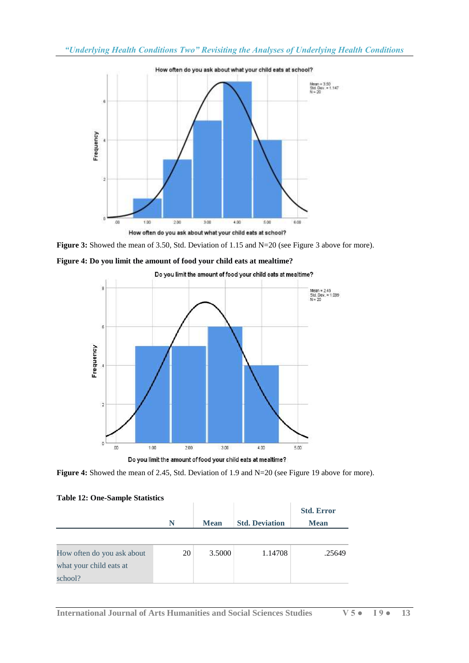

Figure 3: Showed the mean of 3.50, Std. Deviation of 1.15 and N=20 (see Figure 3 above for more).







**Figure 4:** Showed the mean of 2.45, Std. Deviation of 1.9 and N=20 (see Figure 19 above for more).

| <b>Table 12: One-Sample Statistics</b> |   |             |                       |
|----------------------------------------|---|-------------|-----------------------|
|                                        | N | <b>Mean</b> | <b>Std. Deviation</b> |
|                                        |   |             |                       |

| How often do you ask about | 20 | 3.5000 | 1.14708 | .25649 |
|----------------------------|----|--------|---------|--------|
| what your child eats at    |    |        |         |        |
| school?                    |    |        |         |        |

**Std. Error Mean**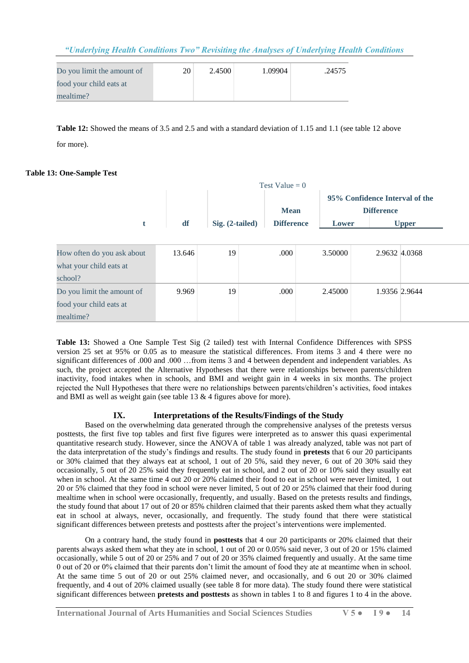| Do you limit the amount of | 20 | 2.4500 | 1.09904 | .24575 |
|----------------------------|----|--------|---------|--------|
| food your child eats at    |    |        |         |        |
| mealtime?                  |    |        |         |        |

**Table 12:** Showed the means of 3.5 and 2.5 and with a standard deviation of 1.15 and 1.1 (see table 12 above for more).

## **Table 13: One-Sample Test**

| Test Value = $0$           |        |                   |                   |                                |                   |               |  |  |
|----------------------------|--------|-------------------|-------------------|--------------------------------|-------------------|---------------|--|--|
|                            |        |                   |                   | 95% Confidence Interval of the |                   |               |  |  |
|                            |        |                   | <b>Mean</b>       |                                | <b>Difference</b> |               |  |  |
| t                          | df     | $Sig. (2-tailed)$ | <b>Difference</b> | Lower                          |                   | <b>Upper</b>  |  |  |
|                            |        |                   |                   |                                |                   |               |  |  |
| How often do you ask about | 13.646 | 19                | .000              | 3.50000                        |                   | 2.9632 4.0368 |  |  |
| what your child eats at    |        |                   |                   |                                |                   |               |  |  |
| school?                    |        |                   |                   |                                |                   |               |  |  |
| Do you limit the amount of | 9.969  | 19                | .000              | 2.45000                        |                   | 1.9356 2.9644 |  |  |
| food your child eats at    |        |                   |                   |                                |                   |               |  |  |
| mealtime?                  |        |                   |                   |                                |                   |               |  |  |

**Table 13:** Showed a One Sample Test Sig (2 tailed) test with Internal Confidence Differences with SPSS version 25 set at 95% or 0.05 as to measure the statistical differences. From items 3 and 4 there were no significant differences of .000 and .000 ...from items 3 and 4 between dependent and independent variables. As such, the project accepted the Alternative Hypotheses that there were relationships between parents/children inactivity, food intakes when in schools, and BMI and weight gain in 4 weeks in six months. The project rejected the Null Hypotheses that there were no relationships between parents/children's activities, food intakes and BMI as well as weight gain (see table 13 & 4 figures above for more).

## **IX. Interpretations of the Results/Findings of the Study**

Based on the overwhelming data generated through the comprehensive analyses of the pretests versus posttests, the first five top tables and first five figures were interpreted as to answer this quasi experimental quantitative research study. However, since the ANOVA of table 1 was already analyzed, table was not part of the data interpretation of the study's findings and results. The study found in **pretests** that 6 our 20 participants or 30% claimed that they always eat at school, 1 out of 20 5%, said they never, 6 out of 20 30% said they occasionally, 5 out of 20 25% said they frequently eat in school, and 2 out of 20 or 10% said they usually eat when in school. At the same time 4 out 20 or 20% claimed their food to eat in school were never limited, 1 out 20 or 5% claimed that they food in school were never limited, 5 out of 20 or 25% claimed that their food during mealtime when in school were occasionally, frequently, and usually. Based on the pretests results and findings, the study found that about 17 out of 20 or 85% children claimed that their parents asked them what they actually eat in school at always, never, occasionally, and frequently. The study found that there were statistical significant differences between pretests and posttests after the project's interventions were implemented.

On a contrary hand, the study found in **posttests** that 4 our 20 participants or 20% claimed that their parents always asked them what they ate in school, 1 out of 20 or 0.05% said never, 3 out of 20 or 15% claimed occasionally, while 5 out of 20 or 25% and 7 out of 20 or 35% claimed frequently and usually. At the same time 0 out of 20 or 0% claimed that their parents don't limit the amount of food they ate at meantime when in school. At the same time 5 out of 20 or out 25% claimed never, and occasionally, and 6 out 20 or 30% claimed frequently, and 4 out of 20% claimed usually (see table 8 for more data). The study found there were statistical significant differences between **pretests and posttests** as shown in tables 1 to 8 and figures 1 to 4 in the above.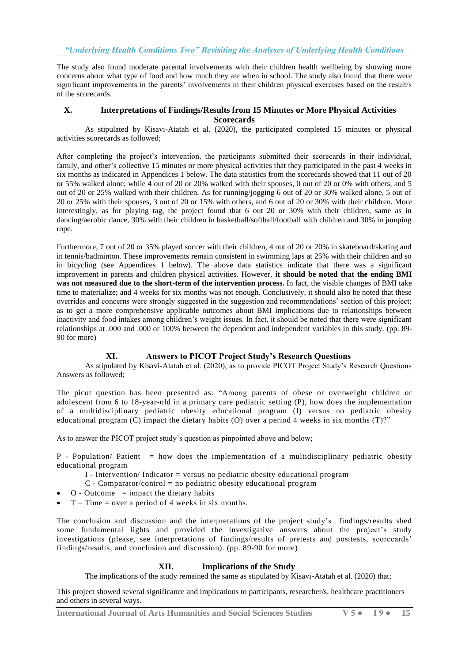The study also found moderate parental involvements with their children health wellbeing by showing more concerns about what type of food and how much they ate when in school. The study also found that there were significant improvements in the parents' involvements in their children physical exercises based on the result/s of the scorecards.

#### **X. Interpretations of Findings/Results from 15 Minutes or More Physical Activities Scorecards**

As stipulated by Kisavi-Atatah et al. (2020), the participated completed 15 minutes or physical activities scorecards as followed;

After completing the project's intervention, the participants submitted their scorecards in their individual, family, and other's collective 15 minutes or more physical activities that they participated in the past 4 weeks in six months as indicated in Appendices 1 below. The data statistics from the scorecards showed that 11 out of 20 or 55% walked alone; while 4 out of 20 or 20% walked with their spouses, 0 out of 20 or 0% with others, and 5 out of 20 or 25% walked with their children. As for running/jogging 6 out of 20 or 30% walked alone, 5 out of 20 or 25% with their spouses, 3 out of 20 or 15% with others, and 6 out of 20 or 30% with their children. More interestingly, as for playing tag, the project found that 6 out 20 or 30% with their children, same as in dancing/aerobic dance, 30% with their children in basketball/softball/football with children and 30% in jumping rope.

Furthermore, 7 out of 20 or 35% played soccer with their children, 4 out of 20 or 20% in skateboard/skating and in tennis/badminton. These improvements remain consistent in swimming laps at 25% with their children and so in bicycling (see Appendices 1 below). The above data statistics indicate that there was a significant improvement in parents and children physical activities. However, **it should be noted that the ending BMI was not measured due to the short-term of the intervention process.** In fact, the visible changes of BMI take time to materialize; and 4 weeks for six months was not enough. Conclusively, it should also be noted that these overrides and concerns were strongly suggested in the suggestion and recommendations' section of this project; as to get a more comprehensive applicable outcomes about BMI implications due to relationships between inactivity and food intakes among children's weight issues. In fact, it should be noted that there were significant relationships at .000 and .000 or 100% between the dependent and independent variables in this study. (pp. 89- 90 for more)

# **XI. Answers to PICOT Project Study's Research Questions**

As stipulated by Kisavi-Atatah et al. (2020), as to provide PICOT Project Study's Research Questions Answers as followed;

The picot question has been presented as: "Among parents of obese or overweight children or adolescent from 6 to 18-year-old in a primary care pediatric setting (P), how does the implementation of a multidisciplinary pediatric obesity educational program (I) versus no pediatric obesity educational program (C) impact the dietary habits (O) over a period 4 weeks in six months  $(T)$ ?"

As to answer the PICOT project study's question as pinpointed above and below;

 $P$  - Population/ Patient = how does the implementation of a multidisciplinary pediatric obesity educational program

- I Intervention/ Indicator = versus no pediatric obesity educational program
- $C$  Comparator/control = no pediatric obesity educational program
- $O Outcome$  = impact the dietary habits
- $T Time = over a period of 4 weeks in six months.$

The conclusion and discussion and the interpretations of the project study's findings/results shed some fundamental lights and provided the investigative answers about the project's study investigations (please, see interpretations of findings/results of pretests and posttests, scorecards' findings/results, and conclusion and discussion). (pp. 89-90 for more)

## **XII. Implications of the Study**

The implications of the study remained the same as stipulated by Kisavi-Atatah et al. (2020) that;

This project showed several significance and implications to participants, researcher/s, healthcare practitioners and others in several ways.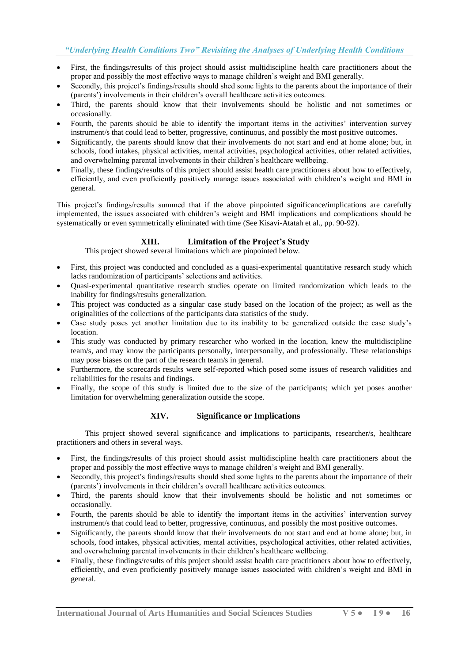- First, the findings/results of this project should assist multidiscipline health care practitioners about the proper and possibly the most effective ways to manage children's weight and BMI generally.
- Secondly, this project's findings/results should shed some lights to the parents about the importance of their (parents') involvements in their children's overall healthcare activities outcomes.
- Third, the parents should know that their involvements should be holistic and not sometimes or occasionally.
- Fourth, the parents should be able to identify the important items in the activities' intervention survey instrument/s that could lead to better, progressive, continuous, and possibly the most positive outcomes.
- Significantly, the parents should know that their involvements do not start and end at home alone; but, in schools, food intakes, physical activities, mental activities, psychological activities, other related activities, and overwhelming parental involvements in their children's healthcare wellbeing.
- Finally, these findings/results of this project should assist health care practitioners about how to effectively, efficiently, and even proficiently positively manage issues associated with children's weight and BMI in general.

This project's findings/results summed that if the above pinpointed significance/implications are carefully implemented, the issues associated with children's weight and BMI implications and complications should be systematically or even symmetrically eliminated with time (See Kisavi-Atatah et al., pp. 90-92).

# **XIII. Limitation of the Project's Study**

This project showed several limitations which are pinpointed below.

- First, this project was conducted and concluded as a quasi-experimental quantitative research study which lacks randomization of participants' selections and activities.
- Quasi-experimental quantitative research studies operate on limited randomization which leads to the inability for findings/results generalization.
- This project was conducted as a singular case study based on the location of the project; as well as the originalities of the collections of the participants data statistics of the study.
- Case study poses yet another limitation due to its inability to be generalized outside the case study's location.
- This study was conducted by primary researcher who worked in the location, knew the multidiscipline team/s, and may know the participants personally, interpersonally, and professionally. These relationships may pose biases on the part of the research team/s in general.
- Furthermore, the scorecards results were self-reported which posed some issues of research validities and reliabilities for the results and findings.
- Finally, the scope of this study is limited due to the size of the participants; which yet poses another limitation for overwhelming generalization outside the scope.

## **XIV. Significance or Implications**

This project showed several significance and implications to participants, researcher/s, healthcare practitioners and others in several ways.

- First, the findings/results of this project should assist multidiscipline health care practitioners about the proper and possibly the most effective ways to manage children's weight and BMI generally.
- Secondly, this project's findings/results should shed some lights to the parents about the importance of their (parents') involvements in their children's overall healthcare activities outcomes.
- Third, the parents should know that their involvements should be holistic and not sometimes or occasionally.
- Fourth, the parents should be able to identify the important items in the activities' intervention survey instrument/s that could lead to better, progressive, continuous, and possibly the most positive outcomes.
- Significantly, the parents should know that their involvements do not start and end at home alone; but, in schools, food intakes, physical activities, mental activities, psychological activities, other related activities, and overwhelming parental involvements in their children's healthcare wellbeing.
- Finally, these findings/results of this project should assist health care practitioners about how to effectively, efficiently, and even proficiently positively manage issues associated with children's weight and BMI in general.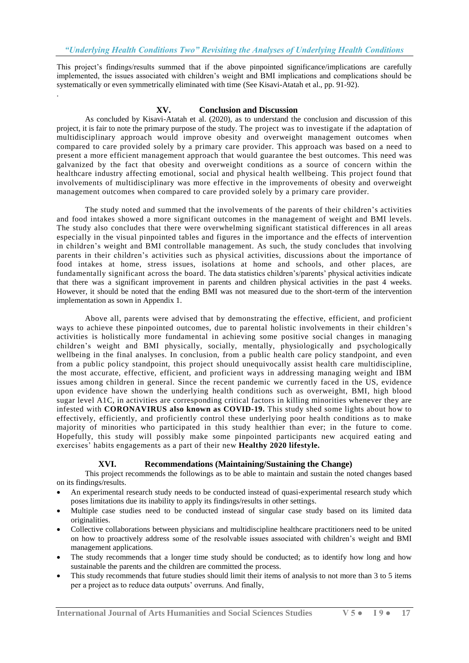This project's findings/results summed that if the above pinpointed significance/implications are carefully implemented, the issues associated with children's weight and BMI implications and complications should be systematically or even symmetrically eliminated with time (See Kisavi-Atatah et al., pp. 91-92).

## **XV. Conclusion and Discussion**

.

As concluded by Kisavi-Atatah et al. (2020), as to understand the conclusion and discussion of this project, it is fair to note the primary purpose of the study. The project was to investigate if the adaptation of multidisciplinary approach would improve obesity and overweight management outcomes when compared to care provided solely by a primary care provider. This approach was based on a need to present a more efficient management approach that would guarantee the best outcomes. This need was galvanized by the fact that obesity and overweight conditions as a source of concern within the healthcare industry affecting emotional, social and physical health wellbeing. This project found that involvements of multidisciplinary was more effective in the improvements of obesity and overweight management outcomes when compared to care provided solely by a primary care provider.

The study noted and summed that the involvements of the parents of their children's activities and food intakes showed a more significant outcomes in the management of weight and BMI levels. The study also concludes that there were overwhelming significant statistical differences in all areas especially in the visual pinpointed tables and figures in the importance and the effects of intervention in children's weight and BMI controllable management. As such, the study concludes that involving parents in their children's activities such as physical activities, discussions about the importance of food intakes at home, stress issues, isolations at home and schools, and other places, are fundamentally significant across the board. The data statistics children's/parents' physical activities indicate that there was a significant improvement in parents and children physical activities in the past 4 weeks. However, it should be noted that the ending BMI was not measured due to the short-term of the intervention implementation as sown in Appendix 1.

Above all, parents were advised that by demonstrating the effective, efficient, and proficient ways to achieve these pinpointed outcomes, due to parental holistic involvements in their children's activities is holistically more fundamental in achieving some positive social changes in managing children's weight and BMI physically, socially, mentally, physiologically and psychologically wellbeing in the final analyses. In conclusion, from a public health care policy standpoint, and even from a public policy standpoint, this project should unequivocally assist health care multidiscipline, the most accurate, effective, efficient, and proficient ways in addressing managing weight and IBM issues among children in general. Since the recent pandemic we currently faced in the US, evidence upon evidence have shown the underlying health conditions such as overweight, BMI, high blood sugar level A1C, in activities are corresponding critical factors in killing minorities whenever they are infested with **CORONAVIRUS also known as COVID-19.** This study shed some lights about how to effectively, efficiently, and proficiently control these underlying poor health conditions as to make majority of minorities who participated in this study healthier than ever; in the future to come. Hopefully, this study will possibly make some pinpointed participants new acquired eating and exercises' habits engagements as a part of their new **Healthy 2020 lifestyle.**

## **XVI. Recommendations (Maintaining/Sustaining the Change)**

This project recommends the followings as to be able to maintain and sustain the noted changes based on its findings/results.

- An experimental research study needs to be conducted instead of quasi-experimental research study which poses limitations due its inability to apply its findings/results in other settings.
- Multiple case studies need to be conducted instead of singular case study based on its limited data originalities.
- Collective collaborations between physicians and multidiscipline healthcare practitioners need to be united on how to proactively address some of the resolvable issues associated with children's weight and BMI management applications.
- The study recommends that a longer time study should be conducted; as to identify how long and how sustainable the parents and the children are committed the process.
- This study recommends that future studies should limit their items of analysis to not more than 3 to 5 items per a project as to reduce data outputs' overruns. And finally,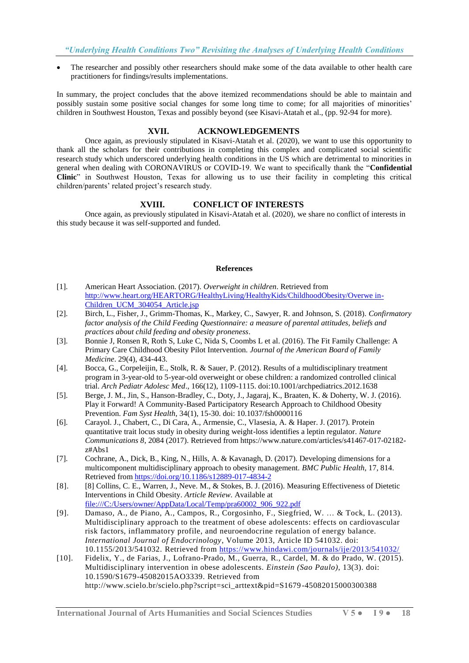The researcher and possibly other researchers should make some of the data available to other health care practitioners for findings/results implementations.

In summary, the project concludes that the above itemized recommendations should be able to maintain and possibly sustain some positive social changes for some long time to come; for all majorities of minorities' children in Southwest Houston, Texas and possibly beyond (see Kisavi-Atatah et al., (pp. 92-94 for more).

## **XVII. ACKNOWLEDGEMENTS**

Once again, as previously stipulated in Kisavi-Atatah et al. (2020), we want to use this opportunity to thank all the scholars for their contributions in completing this complex and complicated social scientific research study which underscored underlying health conditions in the US which are detrimental to minorities in general when dealing with CORONAVIRUS or COVID-19. We want to specifically thank the "**Confidential Clinic**" in Southwest Houston, Texas for allowing us to use their facility in completing this critical children/parents' related project's research study.

## **XVIII. CONFLICT OF INTERESTS**

Once again, as previously stipulated in Kisavi-Atatah et al. (2020), we share no conflict of interests in this study because it was self-supported and funded.

#### **References**

- [1]. American Heart Association. (2017). *Overweight in children*. Retrieved from [http://www.heart.org/HEARTORG/HealthyLiving/HealthyKids/ChildhoodObesity/Overwe in-](http://www.heart.org/HEARTORG/HealthyLiving/HealthyKids/ChildhoodObesity/Overwe%20in-Children_UCM_304054_Article.jsp)[Children\\_UCM\\_304054\\_Article.jsp](http://www.heart.org/HEARTORG/HealthyLiving/HealthyKids/ChildhoodObesity/Overwe%20in-Children_UCM_304054_Article.jsp)
- [2]. Birch, L., Fisher, J., Grimm-Thomas, K., Markey, C., Sawyer, R. and Johnson, S. (2018). *Confirmatory factor analysis of the Child Feeding Questionnaire: a measure of parental attitudes, beliefs and practices about child feeding and obesity proneness*.
- [3]. Bonnie J, Ronsen R, Roth S, Luke C, Nida S, Coombs L et al. (2016). The Fit Family Challenge: A Primary Care Childhood Obesity Pilot Intervention. *Journal of the American Board of Family Medicine*. 29(4), 434-443.
- [4]. Bocca, G., Corpeleijin, E., Stolk, R. & Sauer, P. (2012). Results of a multidisciplinary treatment program in 3-year-old to 5-year-old overweight or obese children: a randomized controlled clinical trial. *Arch Pediatr Adolesc Med*., 166(12), 1109-1115. doi:10.1001/archpediatrics.2012.1638
- [5]. Berge, J. M., Jin, S., Hanson-Bradley, C., Doty, J., Jagaraj, K., Braaten, K. & Doherty, W. J. (2016). Play it Forward! A Community-Based Participatory Research Approach to Childhood Obesity Prevention. *Fam Syst Health*, 34(1), 15-30. doi: 10.1037/fsh0000116
- [6]. Carayol. J., Chabert, C., Di Cara, A., Armensie, C., Vlasesia, A. & Haper. J. (2017). Protein quantitative trait locus study in obesity during weight-loss identifies a leptin regulator. *Nature Communications 8*, 2084 (2017). Retrieved from https://www.nature.com/articles/s41467-017-02182 z#Abs1
- [7]. Cochrane, A., Dick, B., King, N., Hills, A. & Kavanagh, D. (2017). Developing dimensions for a multicomponent multidisciplinary approach to obesity management. *BMC Public Health*, 17, 814. Retrieved from<https://doi.org/10.1186/s12889-017-4834-2>
- [8]. [8] Collins, C. E., Warren, J., Neve. M., & Stokes, B. J. (2016). Measuring Effectiveness of Dietetic Interventions in Child Obesity. *Article Review*. Available at [file:///C:/Users/owner/AppData/Local/Temp/pra60002\\_906\\_922.pdf](file:///C:/Users/owner/AppData/Local/Temp/pra60002_906_922.pdf)
- [9]. Damaso, A., de Piano, A., Campos, R., Corgosinho, F., Siegfried, W. … & Tock, L. (2013). Multidisciplinary approach to the treatment of obese adolescents: effects on cardiovascular risk factors, inflammatory profile, and neuroendocrine regulation of energy balance. *International Journal of Endocrinology*, Volume 2013, Article ID 541032. doi: 10.1155/2013/541032. Retrieved from <https://www.hindawi.com/journals/ije/2013/541032/>
- [10]. Fidelix, Y., de Farias, J., Lofrano-Prado, M., Guerra, R., Cardel, M. & do Prado, W. (2015). Multidisciplinary intervention in obese adolescents. *Einstein (Sao Paulo)*, 13(3). doi: 10.1590/S1679-45082015AO3339. Retrieved from http://www.scielo.br/scielo.php?script=sci\_arttext&pid=S1679 -45082015000300388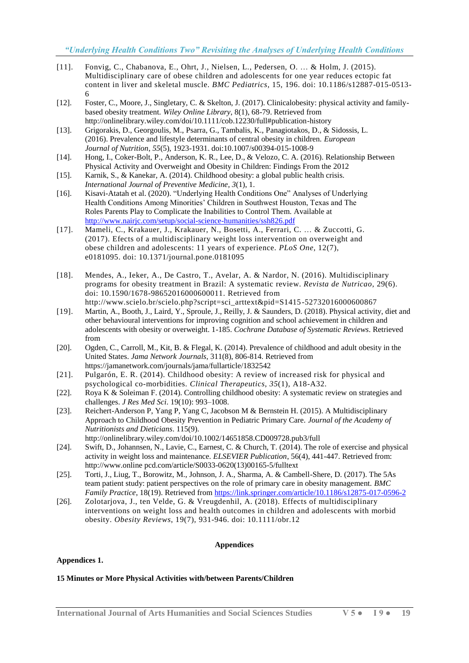- [11]. Fonvig, C., Chabanova, E., Ohrt, J., Nielsen, L., Pedersen, O. … & Holm, J. (2015). Multidisciplinary care of obese children and adolescents for one year reduces ectopic fat content in liver and skeletal muscle. *BMC Pediatrics*, 15, 196. doi: 10.1186/s12887-015-0513- 6
- [12]. Foster, C., Moore, J., Singletary, C. & Skelton, J. (2017). Clinicalobesity: physical activity and familybased obesity treatment. *Wiley Online Library*, 8(1), 68-79. Retrieved from http://onlinelibrary.wiley.com/doi/10.1111/cob.12230/full#publication-history
- [13]. Grigorakis, D., Georgoulis, M., Psarra, G., Tambalis, K., Panagiotakos, D., & Sidossis, L. (2016). Prevalence and lifestyle determinants of central obesity in children. *European Journal of Nutrition*, *55*(5), 1923-1931. doi:10.1007/s00394-015-1008-9
- [14]. Hong, I., Coker-Bolt, P., Anderson, K. R., Lee, D., & Velozo, C. A. (2016). Relationship Between Physical Activity and Overweight and Obesity in Children: Findings From the 2012
- [15]. Karnik, S., & Kanekar, A. (2014). Childhood obesity: a global public health crisis. *International Journal of Preventive Medicine*, *3*(1), 1.
- [16]. Kisavi-Atatah et al. (2020). "Underlying Health Conditions One" Analyses of Underlying Health Conditions Among Minorities' Children in Southwest Houston, Texas and The Roles Parents Play to Complicate the Inabilities to Control Them. Available at <http://www.nairjc.com/setup/social-science-humanities/ssh826.pdf>
- [17]. Mameli, C., Krakauer, J., Krakauer, N., Bosetti, A., Ferrari, C. … & Zuccotti, G. (2017). Efects of a multidisciplinary weight loss intervention on overweight and obese children and adolescents: 11 years of experience. *PLoS One*, 12(7), e0181095. doi: 10.1371/journal.pone.0181095
- [18]. Mendes, A., Ieker, A., De Castro, T., Avelar, A. & Nardor, N. (2016). Multidisciplinary programs for obesity treatment in Brazil: A systematic review. *Revista de Nutricao*, 29(6). doi: 10.1590/1678-98652016000600011. Retrieved from http://www.scielo.br/scielo.php?script=sci\_arttext&pid=S1415 -52732016000600867
- [19]. Martin, A., Booth, J., Laird, Y., Sproule, J., Reilly, J. & Saunders, D. (2018). Physical activity, diet and other behavioural interventions for improving cognition and school achievement in children and adolescents with obesity or overweight. 1-185. *Cochrane Database of Systematic Reviews*. Retrieved from
- [20]. Ogden, C., Carroll, M., Kit, B. & Flegal, K. (2014). Prevalence of childhood and adult obesity in the United States. *Jama Network Journals*, 311(8), 806-814. Retrieved from https://jamanetwork.com/journals/jama/fullarticle/1832542
- [21]. Pulgarón, E. R. (2014). Childhood obesity: A review of increased risk for physical and psychological co-morbidities. *Clinical Therapeutics*, *35*(1), A18-A32.
- [22]. Roya K & Soleiman F. (2014). Controlling childhood obesity: A systematic review on strategies and challenges. *J Res Med Sci*. 19(10): 993–1008.
- [23]. Reichert-Anderson P, Yang P, Yang C, Jacobson M & Bernstein H. (2015). A Multidisciplinary Approach to Childhood Obesity Prevention in Pediatric Primary Care. *Journal of the Academy of Nutritionists and Dieticians*. 115(9). http://onlinelibrary.wiley.com/doi/10.1002/14651858.CD009728.pub3/full
- [24]. Swift, D., Johannsen, N., Lavie, C., Earnest, C. & Church, T. (2014). The role of exercise and physical activity in weight loss and maintenance. *ELSEVIER Publication*, 56(4), 441-447. Retrieved from: http://www.online pcd.com/article/S0033-0620(13)00165-5/fulltext
- [25]. Torti, J., Liug, T., Borowitz, M., Johnson, J. A., Sharma, A. & Cambell-Shere, D. (2017). The 5As team patient study: patient perspectives on the role of primary care in obesity management. *BMC Family Practice*, 18(19). Retrieved fro[m https://link.springer.com/article/10.1186/s12875-017-0596-2](https://link.springer.com/article/10.1186/s12875-017-0596-2)
- [26]. Zolotarjova, J., ten Velde, G. & Vreugdenhil, A. (2018). Effects of multidisciplinary interventions on weight loss and health outcomes in children and adolescents with morbid obesity. *Obesity Reviews*, 19(7), 931-946. doi: 10.1111/obr.12

## **Appendices**

## **Appendices 1.**

## **15 Minutes or More Physical Activities with/between Parents/Children**